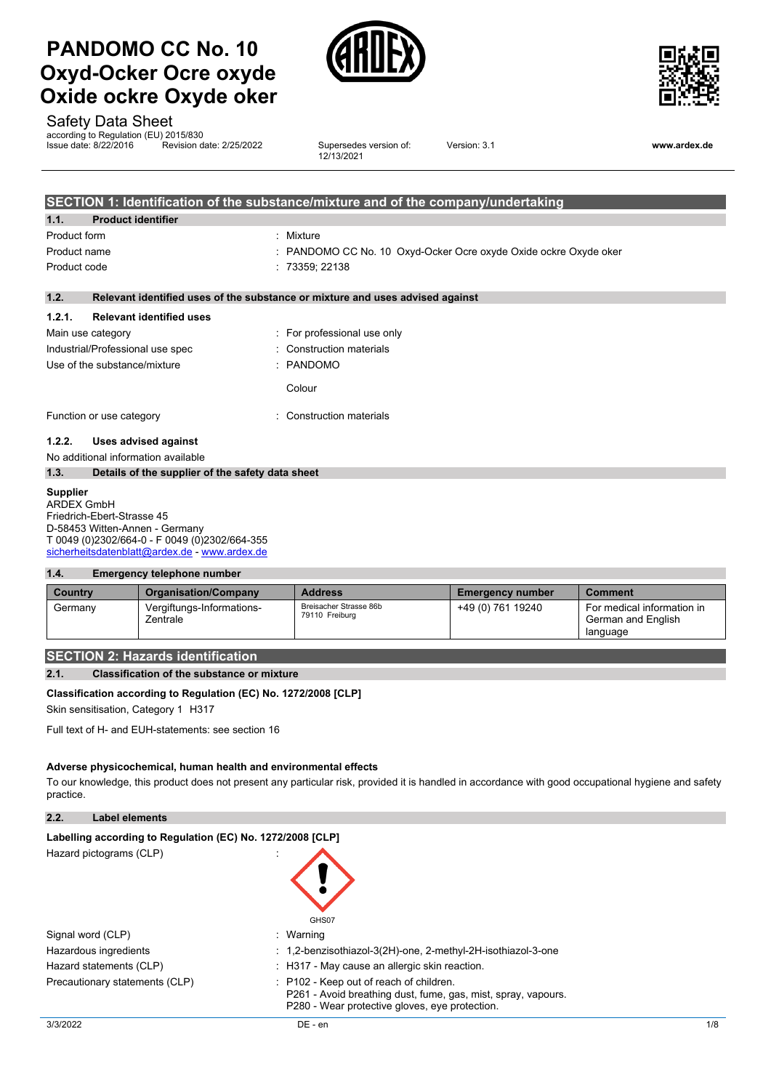



Safety Data Sheet

according to Regulation (EU) 2015/830

Issue date: 8/22/2016 Revision date: 2/25/2022 Supersedes version of: 12/13/2021

Version: 3.1 **www.ardex.de**

|                   |                                                  | SECTION 1: Identification of the substance/mixture and of the company/undertaking |
|-------------------|--------------------------------------------------|-----------------------------------------------------------------------------------|
| 1.1.              | <b>Product identifier</b>                        |                                                                                   |
| Product form      |                                                  | : Mixture                                                                         |
| Product name      |                                                  | : PANDOMO CC No. 10 Oxyd-Ocker Ocre oxyde Oxide ockre Oxyde oker                  |
| Product code      |                                                  | 73359; 22138                                                                      |
| 1.2.              |                                                  | Relevant identified uses of the substance or mixture and uses advised against     |
| 1.2.1.            | <b>Relevant identified uses</b>                  |                                                                                   |
| Main use category |                                                  | : For professional use only                                                       |
|                   | Industrial/Professional use spec                 | Construction materials                                                            |
|                   | Use of the substance/mixture                     | : PANDOMO                                                                         |
|                   |                                                  | Colour                                                                            |
|                   | Function or use category                         | Construction materials                                                            |
| 1.2.2.            | Uses advised against                             |                                                                                   |
|                   | No additional information available              |                                                                                   |
| 1.3.              | Details of the supplier of the safety data sheet |                                                                                   |
| <b>Supplier</b>   |                                                  |                                                                                   |

ARDEX GmbH Friedrich-Ebert-Strasse 45 D-58453 Witten-Annen - Germany T 0049 (0)2302/664-0 - F 0049 (0)2302/664-355 [sicherheitsdatenblatt@ardex.de](mailto:sicherheitsdatenblatt@ardex.de) - [www.ardex.de](http://www.ardex.de/)

#### **1.4. Emergency telephone number**

| Country | <b>Organisation/Company</b>           | <b>Address</b>                           | <b>Emergency number</b> | <b>Comment</b>                                               |
|---------|---------------------------------------|------------------------------------------|-------------------------|--------------------------------------------------------------|
| Germany | Vergiftungs-Informations-<br>Zentrale | Breisacher Strasse 86b<br>79110 Freiburg | +49 (0) 761 19240       | For medical information in<br>German and English<br>language |

## **SECTION 2: Hazards identification**

**2.1. Classification of the substance or mixture**

#### **Classification according to Regulation (EC) No. 1272/2008 [CLP]**

Skin sensitisation, Category 1 H317

Full text of H- and EUH-statements: see section 16

#### **Adverse physicochemical, human health and environmental effects**

To our knowledge, this product does not present any particular risk, provided it is handled in accordance with good occupational hygiene and safety practice.

### **2.2. Label elements**

| Labelling according to Regulation (EC) No. 1272/2008 [CLP] |                                                                                                                                                            |
|------------------------------------------------------------|------------------------------------------------------------------------------------------------------------------------------------------------------------|
| Hazard pictograms (CLP)                                    | GHS07                                                                                                                                                      |
| Signal word (CLP)                                          | : Warning                                                                                                                                                  |
| Hazardous ingredients                                      | : 1,2-benzisothiazol-3(2H)-one, 2-methyl-2H-isothiazol-3-one                                                                                               |
| Hazard statements (CLP)                                    | : H317 - May cause an allergic skin reaction.                                                                                                              |
| Precautionary statements (CLP)                             | : P102 - Keep out of reach of children.<br>P261 - Avoid breathing dust, fume, gas, mist, spray, vapours.<br>P280 - Wear protective gloves, eve protection. |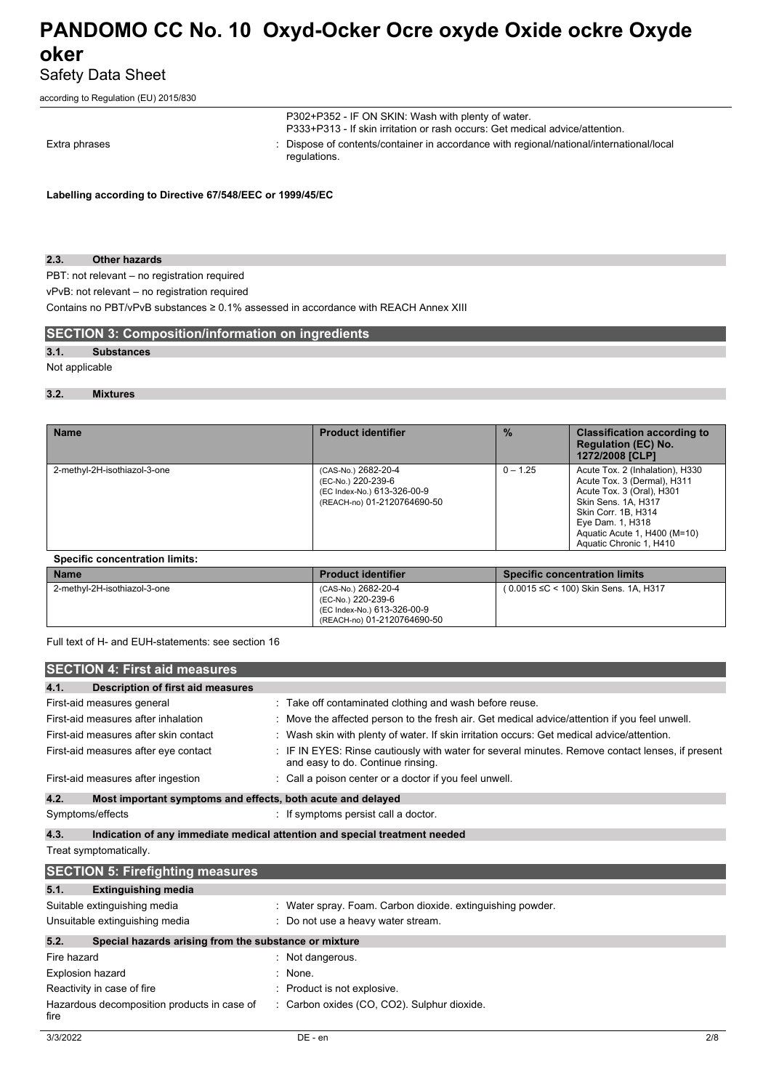## Safety Data Sheet

according to Regulation (EU) 2015/830

|               |  |  | regulations.                                                                                                                       |
|---------------|--|--|------------------------------------------------------------------------------------------------------------------------------------|
| Extra phrases |  |  | : Dispose of contents/container in accordance with regional/national/international/local                                           |
|               |  |  | P302+P352 - IF ON SKIN: Wash with plenty of water.<br>P333+P313 - If skin irritation or rash occurs: Get medical advice/attention. |

**Labelling according to Directive 67/548/EEC or 1999/45/EC**

### **2.3. Other hazards**

PBT: not relevant – no registration required

vPvB: not relevant – no registration required

Contains no PBT/vPvB substances ≥ 0.1% assessed in accordance with REACH Annex XIII

## **SECTION 3: Composition/information on ingredients**

## **3.1. Substances**

Not applicable

## **3.2. Mixtures**

| <b>Name</b>                  | <b>Product identifier</b>                                                                               | $\frac{9}{6}$ | <b>Classification according to</b><br><b>Regulation (EC) No.</b><br>1272/2008 [CLP]                                                                                                                                      |
|------------------------------|---------------------------------------------------------------------------------------------------------|---------------|--------------------------------------------------------------------------------------------------------------------------------------------------------------------------------------------------------------------------|
| 2-methyl-2H-isothiazol-3-one | (CAS-No.) 2682-20-4<br>(EC-No.) 220-239-6<br>(EC Index-No.) 613-326-00-9<br>(REACH-no) 01-2120764690-50 | $0 - 1.25$    | Acute Tox. 2 (Inhalation), H330<br>Acute Tox. 3 (Dermal), H311<br>Acute Tox. 3 (Oral), H301<br>Skin Sens. 1A, H317<br>Skin Corr. 1B, H314<br>Eye Dam. 1, H318<br>Aguatic Acute 1, H400 (M=10)<br>Aquatic Chronic 1, H410 |

## **Specific concentration limits:**

| <b>Name</b>                  | <b>Product identifier</b>                                                                               | <b>Specific concentration limits</b>  |  |  |  |
|------------------------------|---------------------------------------------------------------------------------------------------------|---------------------------------------|--|--|--|
| 2-methyl-2H-isothiazol-3-one | (CAS-No.) 2682-20-4<br>(EC-No.) 220-239-6<br>(EC Index-No.) 613-326-00-9<br>(REACH-no) 01-2120764690-50 | (0.0015 ≤C < 100) Skin Sens. 1A, H317 |  |  |  |

## Full text of H- and EUH-statements: see section 16

|             | <b>SECTION 4: First aid measures</b>                        |                                                                                                                                     |
|-------------|-------------------------------------------------------------|-------------------------------------------------------------------------------------------------------------------------------------|
| 4.1.        | <b>Description of first aid measures</b>                    |                                                                                                                                     |
|             | First-aid measures general                                  | : Take off contaminated clothing and wash before reuse.                                                                             |
|             | First-aid measures after inhalation                         | Move the affected person to the fresh air. Get medical advice/attention if you feel unwell.                                         |
|             | First-aid measures after skin contact                       | Wash skin with plenty of water. If skin irritation occurs: Get medical advice/attention.                                            |
|             | First-aid measures after eye contact                        | IF IN EYES: Rinse cautiously with water for several minutes. Remove contact lenses, if present<br>and easy to do. Continue rinsing. |
|             | First-aid measures after ingestion                          | Call a poison center or a doctor if you feel unwell.                                                                                |
| 4.2.        | Most important symptoms and effects, both acute and delayed |                                                                                                                                     |
|             | Symptoms/effects                                            | : If symptoms persist call a doctor.                                                                                                |
| 4.3.        |                                                             | Indication of any immediate medical attention and special treatment needed                                                          |
|             | Treat symptomatically.                                      |                                                                                                                                     |
|             | <b>SECTION 5: Firefighting measures</b>                     |                                                                                                                                     |
| 5.1.        | <b>Extinguishing media</b>                                  |                                                                                                                                     |
|             | Suitable extinguishing media                                | : Water spray. Foam. Carbon dioxide. extinguishing powder.                                                                          |
|             | Unsuitable extinguishing media                              | Do not use a heavy water stream.                                                                                                    |
| 5.2.        | Special hazards arising from the substance or mixture       |                                                                                                                                     |
| Fire hazard |                                                             | : Not dangerous.                                                                                                                    |
|             | Explosion hazard                                            | None.                                                                                                                               |
|             | Reactivity in case of fire                                  | Product is not explosive.                                                                                                           |
| fire        | Hazardous decomposition products in case of                 | : Carbon oxides (CO, CO2). Sulphur dioxide.                                                                                         |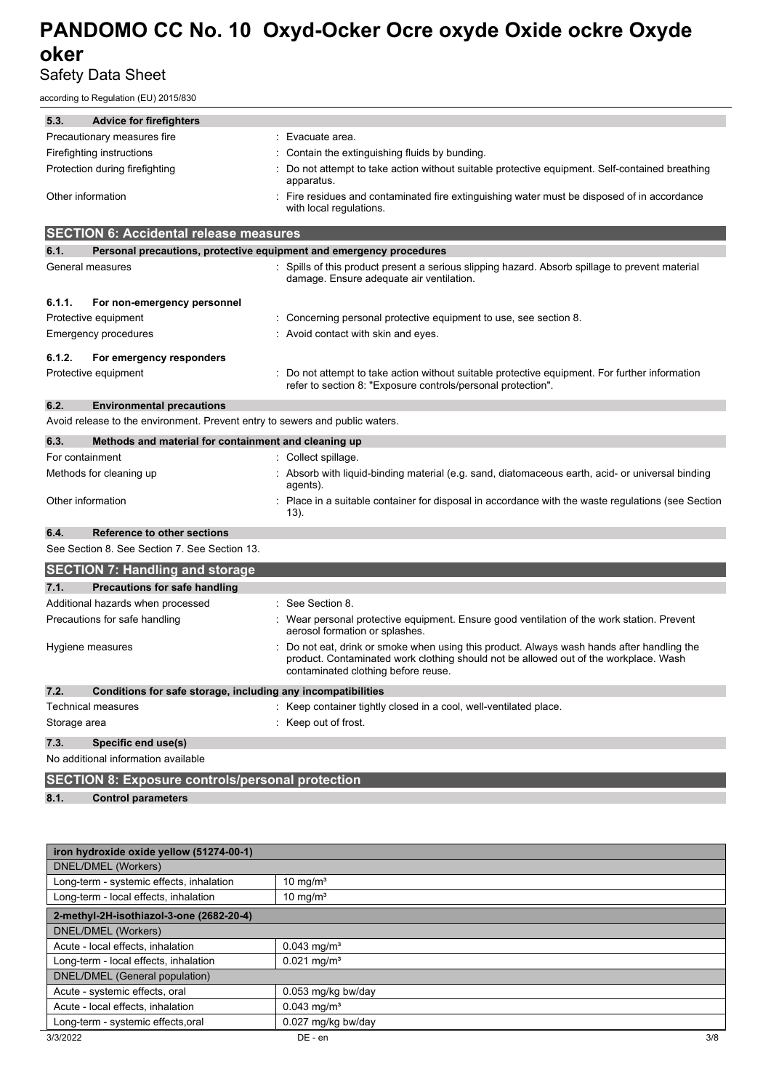## Safety Data Sheet

according to Regulation (EU) 2015/830

| 5.3.                           | <b>Advice for firefighters</b>                                               |                                                                                                                                                                                                                         |
|--------------------------------|------------------------------------------------------------------------------|-------------------------------------------------------------------------------------------------------------------------------------------------------------------------------------------------------------------------|
| Precautionary measures fire    |                                                                              | Evacuate area.                                                                                                                                                                                                          |
| Firefighting instructions      |                                                                              | Contain the extinguishing fluids by bunding.                                                                                                                                                                            |
| Protection during firefighting |                                                                              | Do not attempt to take action without suitable protective equipment. Self-contained breathing<br>apparatus.                                                                                                             |
| Other information              |                                                                              | Fire residues and contaminated fire extinguishing water must be disposed of in accordance<br>with local regulations.                                                                                                    |
|                                | <b>SECTION 6: Accidental release measures</b>                                |                                                                                                                                                                                                                         |
| 6.1.                           |                                                                              | Personal precautions, protective equipment and emergency procedures                                                                                                                                                     |
| General measures               |                                                                              | Spills of this product present a serious slipping hazard. Absorb spillage to prevent material<br>damage. Ensure adequate air ventilation.                                                                               |
| 6.1.1.                         | For non-emergency personnel                                                  |                                                                                                                                                                                                                         |
| Protective equipment           |                                                                              | Concerning personal protective equipment to use, see section 8.                                                                                                                                                         |
| Emergency procedures           |                                                                              | : Avoid contact with skin and eyes.                                                                                                                                                                                     |
| 6.1.2.                         | For emergency responders                                                     |                                                                                                                                                                                                                         |
| Protective equipment           |                                                                              | Do not attempt to take action without suitable protective equipment. For further information<br>refer to section 8: "Exposure controls/personal protection".                                                            |
| 6.2.                           | <b>Environmental precautions</b>                                             |                                                                                                                                                                                                                         |
|                                | Avoid release to the environment. Prevent entry to sewers and public waters. |                                                                                                                                                                                                                         |
| 6.3.                           | Methods and material for containment and cleaning up                         |                                                                                                                                                                                                                         |
| For containment                |                                                                              | : Collect spillage.                                                                                                                                                                                                     |
| Methods for cleaning up        |                                                                              | : Absorb with liquid-binding material (e.g. sand, diatomaceous earth, acid- or universal binding<br>agents).                                                                                                            |
| Other information              |                                                                              | Place in a suitable container for disposal in accordance with the waste regulations (see Section<br>13).                                                                                                                |
| 6.4.                           | Reference to other sections                                                  |                                                                                                                                                                                                                         |
|                                | See Section 8. See Section 7. See Section 13.                                |                                                                                                                                                                                                                         |
|                                | <b>SECTION 7: Handling and storage</b>                                       |                                                                                                                                                                                                                         |
| 7.1.                           | Precautions for safe handling                                                |                                                                                                                                                                                                                         |
|                                | Additional hazards when processed                                            | See Section 8.                                                                                                                                                                                                          |
| Precautions for safe handling  |                                                                              | Wear personal protective equipment. Ensure good ventilation of the work station. Prevent<br>aerosol formation or splashes.                                                                                              |
| Hygiene measures               |                                                                              | Do not eat, drink or smoke when using this product. Always wash hands after handling the<br>product. Contaminated work clothing should not be allowed out of the workplace. Wash<br>contaminated clothing before reuse. |
| 7.2.                           | Conditions for safe storage, including any incompatibilities                 |                                                                                                                                                                                                                         |
| Technical measures             |                                                                              | Keep container tightly closed in a cool, well-ventilated place.                                                                                                                                                         |
| Storage area                   |                                                                              | Keep out of frost.                                                                                                                                                                                                      |
| 7.3.                           | Specific end use(s)                                                          |                                                                                                                                                                                                                         |
|                                | No additional information available                                          |                                                                                                                                                                                                                         |
|                                | <b>SECTION 8: Exposure controls/personal protection</b>                      |                                                                                                                                                                                                                         |
| 8.1.                           | <b>Control parameters</b>                                                    |                                                                                                                                                                                                                         |
|                                |                                                                              |                                                                                                                                                                                                                         |

| iron hydroxide oxide yellow (51274-00-1) |                           |     |  |  |
|------------------------------------------|---------------------------|-----|--|--|
| DNEL/DMEL (Workers)                      |                           |     |  |  |
| Long-term - systemic effects, inhalation | 10 mg/ $m3$               |     |  |  |
| Long-term - local effects, inhalation    | 10 mg/ $m3$               |     |  |  |
| 2-methyl-2H-isothiazol-3-one (2682-20-4) |                           |     |  |  |
| DNEL/DMEL (Workers)                      |                           |     |  |  |
| Acute - local effects, inhalation        | $0.043$ mg/m <sup>3</sup> |     |  |  |
| Long-term - local effects, inhalation    | $0.021$ mg/m <sup>3</sup> |     |  |  |
| DNEL/DMEL (General population)           |                           |     |  |  |
| Acute - systemic effects, oral           | 0.053 mg/kg bw/day        |     |  |  |
| Acute - local effects, inhalation        | $0.043$ mg/m <sup>3</sup> |     |  |  |
| Long-term - systemic effects.oral        | 0.027 mg/kg bw/day        |     |  |  |
| 3/3/2022                                 | $DE - en$                 | 3/8 |  |  |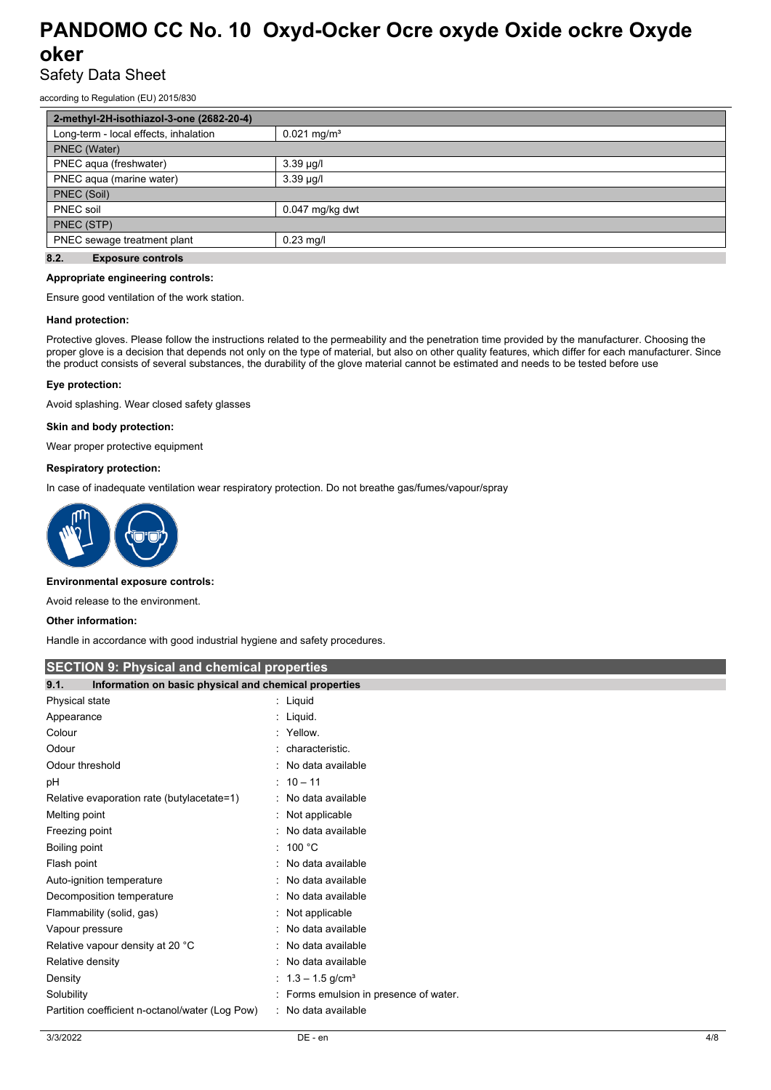## Safety Data Sheet

according to Regulation (EU) 2015/830

| 2-methyl-2H-isothiazol-3-one (2682-20-4) |                           |  |  |  |
|------------------------------------------|---------------------------|--|--|--|
| Long-term - local effects, inhalation    | $0.021$ mg/m <sup>3</sup> |  |  |  |
| PNEC (Water)                             |                           |  |  |  |
| PNEC aqua (freshwater)                   | $3.39 \mu g/l$            |  |  |  |
| PNEC aqua (marine water)                 | $3.39 \mu g/l$            |  |  |  |
| PNEC (Soil)                              |                           |  |  |  |
| PNEC soil                                | $0.047$ mg/kg dwt         |  |  |  |
| PNEC (STP)                               |                           |  |  |  |
| PNEC sewage treatment plant              | $0.23$ mg/l               |  |  |  |
| 8.2.<br><b>Exposure controls</b>         |                           |  |  |  |

### **Appropriate engineering controls:**

Ensure good ventilation of the work station.

#### **Hand protection:**

Protective gloves. Please follow the instructions related to the permeability and the penetration time provided by the manufacturer. Choosing the proper glove is a decision that depends not only on the type of material, but also on other quality features, which differ for each manufacturer. Since the product consists of several substances, the durability of the glove material cannot be estimated and needs to be tested before use

#### **Eye protection:**

Avoid splashing. Wear closed safety glasses

#### **Skin and body protection:**

Wear proper protective equipment

#### **Respiratory protection:**

In case of inadequate ventilation wear respiratory protection. Do not breathe gas/fumes/vapour/spray



#### **Environmental exposure controls:**

Avoid release to the environment.

#### **Other information:**

Handle in accordance with good industrial hygiene and safety procedures.

| <b>SECTION 9: Physical and chemical properties</b>            |                                      |  |  |
|---------------------------------------------------------------|--------------------------------------|--|--|
| 9.1.<br>Information on basic physical and chemical properties |                                      |  |  |
| Physical state                                                | : Liquid                             |  |  |
| Appearance                                                    | : Liquid.                            |  |  |
| Colour                                                        | : Yellow.                            |  |  |
| Odour                                                         | : characteristic.                    |  |  |
| Odour threshold                                               | : No data available                  |  |  |
| рH                                                            | $: 10 - 11$                          |  |  |
| Relative evaporation rate (butylacetate=1)                    | : No data available                  |  |  |
| Melting point                                                 | : Not applicable                     |  |  |
| Freezing point                                                | No data available                    |  |  |
| Boiling point                                                 | : 100 °C                             |  |  |
| Flash point                                                   | No data available                    |  |  |
| Auto-ignition temperature                                     | : No data available                  |  |  |
| Decomposition temperature                                     | No data available                    |  |  |
| Flammability (solid, gas)                                     | Not applicable                       |  |  |
| Vapour pressure                                               | No data available                    |  |  |
| Relative vapour density at 20 °C                              | No data available                    |  |  |
| Relative density                                              | : No data available                  |  |  |
| Density                                                       | : $1.3 - 1.5$ g/cm <sup>3</sup>      |  |  |
| Solubility                                                    | Forms emulsion in presence of water. |  |  |
| Partition coefficient n-octanol/water (Log Pow)               | : No data available                  |  |  |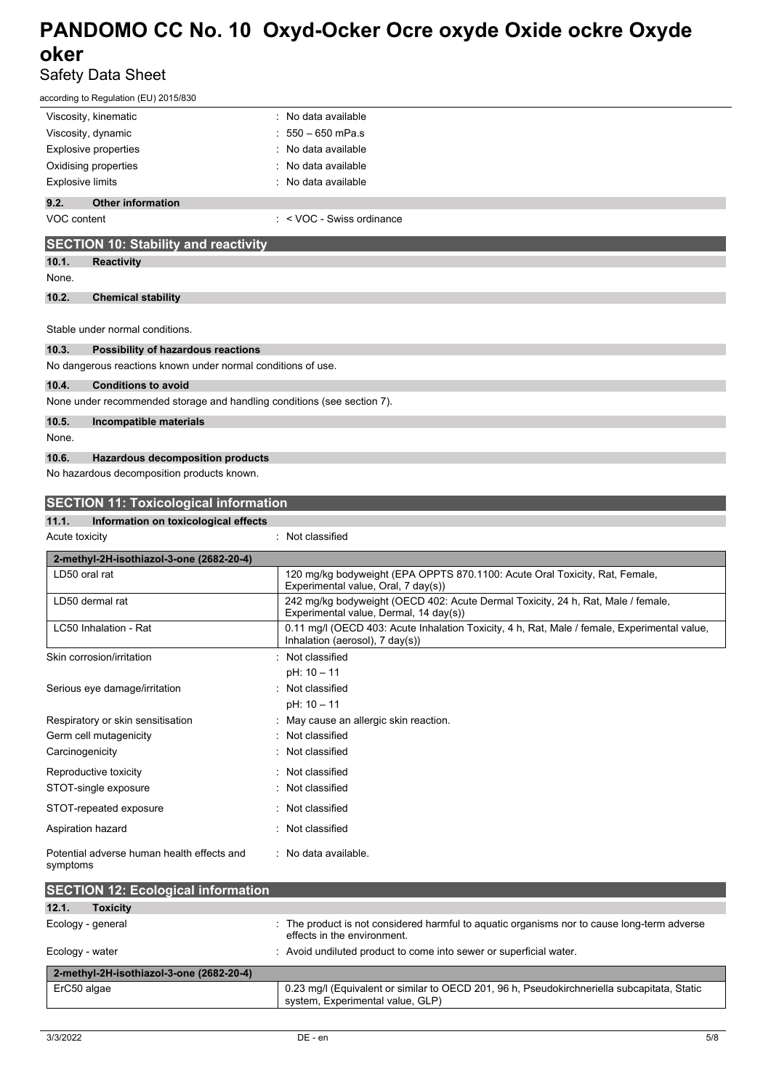## Safety Data Sheet

| according to Regulation (EU) 2015/830                                   |                                                                                                                                 |
|-------------------------------------------------------------------------|---------------------------------------------------------------------------------------------------------------------------------|
| Viscosity, kinematic                                                    | : No data available                                                                                                             |
| Viscosity, dynamic                                                      | $550 - 650$ mPa.s                                                                                                               |
| <b>Explosive properties</b>                                             | No data available                                                                                                               |
| Oxidising properties                                                    | No data available                                                                                                               |
| <b>Explosive limits</b>                                                 | No data available                                                                                                               |
| 9.2.<br><b>Other information</b>                                        |                                                                                                                                 |
| VOC content                                                             | $:$ < VOC - Swiss ordinance                                                                                                     |
| <b>SECTION 10: Stability and reactivity</b>                             |                                                                                                                                 |
| 10.1.<br><b>Reactivity</b>                                              |                                                                                                                                 |
| None.                                                                   |                                                                                                                                 |
| 10.2.<br><b>Chemical stability</b>                                      |                                                                                                                                 |
|                                                                         |                                                                                                                                 |
| Stable under normal conditions.                                         |                                                                                                                                 |
| 10.3.<br>Possibility of hazardous reactions                             |                                                                                                                                 |
| No dangerous reactions known under normal conditions of use.            |                                                                                                                                 |
| 10.4.<br><b>Conditions to avoid</b>                                     |                                                                                                                                 |
| None under recommended storage and handling conditions (see section 7). |                                                                                                                                 |
| 10.5.<br>Incompatible materials                                         |                                                                                                                                 |
| None.                                                                   |                                                                                                                                 |
| 10.6.<br><b>Hazardous decomposition products</b>                        |                                                                                                                                 |
| No hazardous decomposition products known.                              |                                                                                                                                 |
| <b>SECTION 11: Toxicological information</b>                            |                                                                                                                                 |
| 11.1.<br>Information on toxicological effects                           |                                                                                                                                 |
| Acute toxicity                                                          | : Not classified                                                                                                                |
|                                                                         |                                                                                                                                 |
| 2-methyl-2H-isothiazol-3-one (2682-20-4)<br>LD50 oral rat               | 120 mg/kg bodyweight (EPA OPPTS 870.1100: Acute Oral Toxicity, Rat, Female,                                                     |
|                                                                         | Experimental value, Oral, 7 day(s))                                                                                             |
| LD50 dermal rat                                                         | 242 mg/kg bodyweight (OECD 402: Acute Dermal Toxicity, 24 h, Rat, Male / female,<br>Experimental value, Dermal, 14 day(s))      |
| LC50 Inhalation - Rat                                                   | 0.11 mg/l (OECD 403: Acute Inhalation Toxicity, 4 h, Rat, Male / female, Experimental value,<br>Inhalation (aerosol), 7 day(s)) |
| Skin corrosion/irritation                                               | Not classified                                                                                                                  |
|                                                                         | pH: 10 - 11                                                                                                                     |
| Serious eye damage/irritation                                           | Not classified                                                                                                                  |
|                                                                         | pH: 10 - 11                                                                                                                     |
| Respiratory or skin sensitisation                                       | May cause an allergic skin reaction.                                                                                            |
| Germ cell mutagenicity                                                  | Not classified                                                                                                                  |
| Carcinogenicity                                                         | Not classified                                                                                                                  |
| Reproductive toxicity                                                   | Not classified                                                                                                                  |
| STOT-single exposure                                                    | Not classified                                                                                                                  |
| STOT-repeated exposure                                                  | Not classified                                                                                                                  |
| Aspiration hazard                                                       | : Not classified                                                                                                                |
| Potential adverse human health effects and<br>symptoms                  | : No data available.                                                                                                            |
| <b>SECTION 12: Ecological information</b>                               |                                                                                                                                 |
| 12.1.<br><b>Toxicity</b>                                                |                                                                                                                                 |
| Ecology - general                                                       | : The product is not considered harmful to aquatic organisms nor to cause long-term adverse<br>effects in the environment.      |
| Ecology - water                                                         | Avoid undiluted product to come into sewer or superficial water.                                                                |
|                                                                         |                                                                                                                                 |
| 2-methyl-2H-isothiazol-3-one (2682-20-4)                                |                                                                                                                                 |

system, Experimental value, GLP)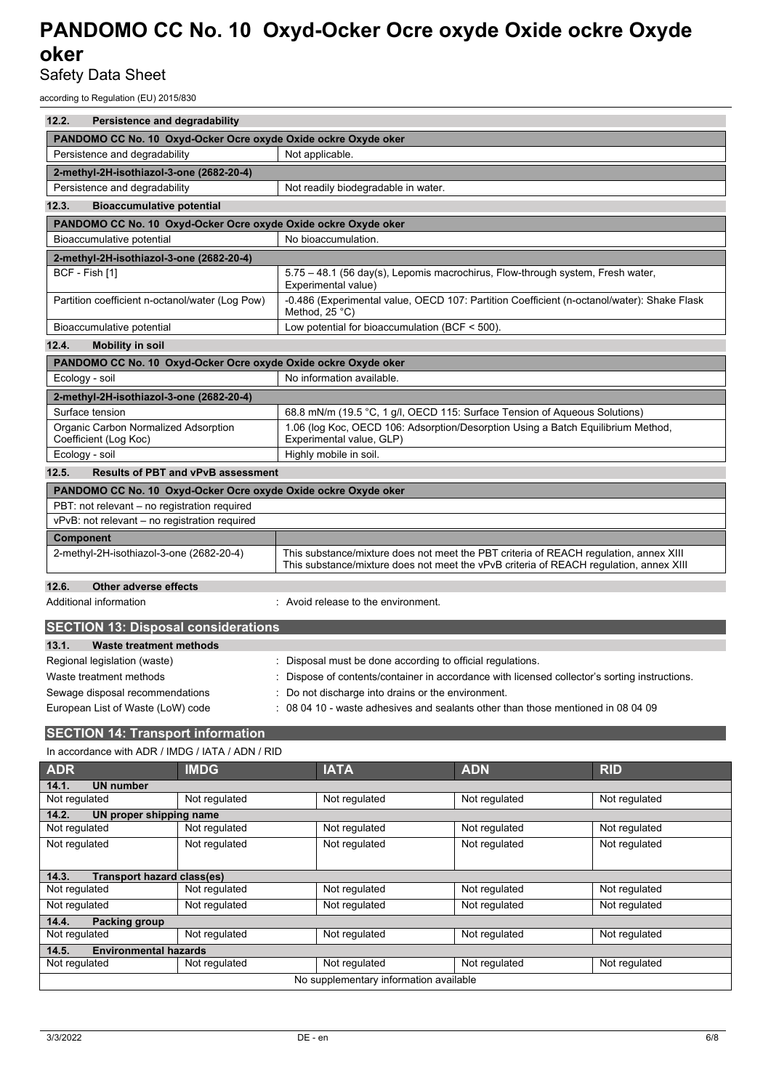Safety Data Sheet

according to Regulation (EU) 2015/830

| 12.2.<br>Persistence and degradability                         |                                                                                                                                                                                 |  |  |  |
|----------------------------------------------------------------|---------------------------------------------------------------------------------------------------------------------------------------------------------------------------------|--|--|--|
| PANDOMO CC No. 10 Oxyd-Ocker Ocre oxyde Oxide ockre Oxyde oker |                                                                                                                                                                                 |  |  |  |
| Persistence and degradability                                  | Not applicable.                                                                                                                                                                 |  |  |  |
| 2-methyl-2H-isothiazol-3-one (2682-20-4)                       |                                                                                                                                                                                 |  |  |  |
| Persistence and degradability                                  | Not readily biodegradable in water.                                                                                                                                             |  |  |  |
| 12.3.<br><b>Bioaccumulative potential</b>                      |                                                                                                                                                                                 |  |  |  |
| PANDOMO CC No. 10 Oxyd-Ocker Ocre oxyde Oxide ockre Oxyde oker |                                                                                                                                                                                 |  |  |  |
| Bioaccumulative potential                                      | No bioaccumulation.                                                                                                                                                             |  |  |  |
| 2-methyl-2H-isothiazol-3-one (2682-20-4)                       |                                                                                                                                                                                 |  |  |  |
| BCF - Fish [1]                                                 | 5.75 - 48.1 (56 day(s), Lepomis macrochirus, Flow-through system, Fresh water,<br>Experimental value)                                                                           |  |  |  |
| Partition coefficient n-octanol/water (Log Pow)                | -0.486 (Experimental value, OECD 107: Partition Coefficient (n-octanol/water): Shake Flask<br>Method, 25 °C)                                                                    |  |  |  |
| Bioaccumulative potential                                      | Low potential for bioaccumulation (BCF < 500).                                                                                                                                  |  |  |  |
| 12.4.<br><b>Mobility in soil</b>                               |                                                                                                                                                                                 |  |  |  |
| PANDOMO CC No. 10 Oxyd-Ocker Ocre oxyde Oxide ockre Oxyde oker |                                                                                                                                                                                 |  |  |  |
| Ecology - soil                                                 | No information available.                                                                                                                                                       |  |  |  |
|                                                                |                                                                                                                                                                                 |  |  |  |
| 2-methyl-2H-isothiazol-3-one (2682-20-4)                       |                                                                                                                                                                                 |  |  |  |
| Surface tension                                                | 68.8 mN/m (19.5 °C, 1 g/l, OECD 115: Surface Tension of Aqueous Solutions)                                                                                                      |  |  |  |
| Organic Carbon Normalized Adsorption<br>Coefficient (Log Koc)  | 1.06 (log Koc, OECD 106: Adsorption/Desorption Using a Batch Equilibrium Method,<br>Experimental value, GLP)                                                                    |  |  |  |
| Ecology - soil                                                 | Highly mobile in soil.                                                                                                                                                          |  |  |  |
| 12.5.<br><b>Results of PBT and vPvB assessment</b>             |                                                                                                                                                                                 |  |  |  |
| PANDOMO CC No. 10 Oxyd-Ocker Ocre oxyde Oxide ockre Oxyde oker |                                                                                                                                                                                 |  |  |  |
| PBT: not relevant - no registration required                   |                                                                                                                                                                                 |  |  |  |
| vPvB: not relevant - no registration required                  |                                                                                                                                                                                 |  |  |  |
| Component                                                      |                                                                                                                                                                                 |  |  |  |
| 2-methyl-2H-isothiazol-3-one (2682-20-4)                       | This substance/mixture does not meet the PBT criteria of REACH regulation, annex XIII<br>This substance/mixture does not meet the vPvB criteria of REACH regulation, annex XIII |  |  |  |
| 12.6.<br>Other adverse effects                                 |                                                                                                                                                                                 |  |  |  |
| Additional information                                         | : Avoid release to the environment.                                                                                                                                             |  |  |  |
| <b>SECTION 13: Disposal considerations</b>                     |                                                                                                                                                                                 |  |  |  |
| 13.1.<br><b>Waste treatment methods</b>                        |                                                                                                                                                                                 |  |  |  |

| Regional legislation (waste)      | Disposal must be done according to official regulations.                                      |
|-----------------------------------|-----------------------------------------------------------------------------------------------|
| Waste treatment methods           | : Dispose of contents/container in accordance with licensed collector's sorting instructions. |
| Sewage disposal recommendations   | : Do not discharge into drains or the environment.                                            |
| European List of Waste (LoW) code | $\div$ 08 04 10 - waste adhesives and sealants other than those mentioned in 08 04 09         |
|                                   |                                                                                               |

## **SECTION 14: Transport information**

In accordance with ADR / IMDG / IATA / ADN / RID

| <b>ADR</b>                             | <b>IMDG</b>                | <b>IATA</b>   | <b>ADN</b>    | <b>RID</b>    |  |  |
|----------------------------------------|----------------------------|---------------|---------------|---------------|--|--|
| <b>UN number</b><br>14.1.              |                            |               |               |               |  |  |
| Not regulated                          | Not regulated              | Not regulated | Not regulated | Not regulated |  |  |
| 14.2.<br>UN proper shipping name       |                            |               |               |               |  |  |
| Not regulated                          | Not regulated              | Not regulated | Not regulated | Not regulated |  |  |
| Not regulated                          | Not regulated              | Not regulated | Not regulated | Not regulated |  |  |
|                                        |                            |               |               |               |  |  |
| 14.3.                                  | Transport hazard class(es) |               |               |               |  |  |
| Not regulated                          | Not regulated              | Not regulated | Not regulated | Not regulated |  |  |
| Not regulated                          | Not regulated              | Not regulated | Not regulated | Not regulated |  |  |
| 14.4.<br>Packing group                 |                            |               |               |               |  |  |
| Not regulated                          | Not regulated              | Not regulated | Not regulated | Not regulated |  |  |
| <b>Environmental hazards</b><br>14.5.  |                            |               |               |               |  |  |
| Not regulated                          | Not regulated              | Not regulated | Not regulated | Not regulated |  |  |
| No supplementary information available |                            |               |               |               |  |  |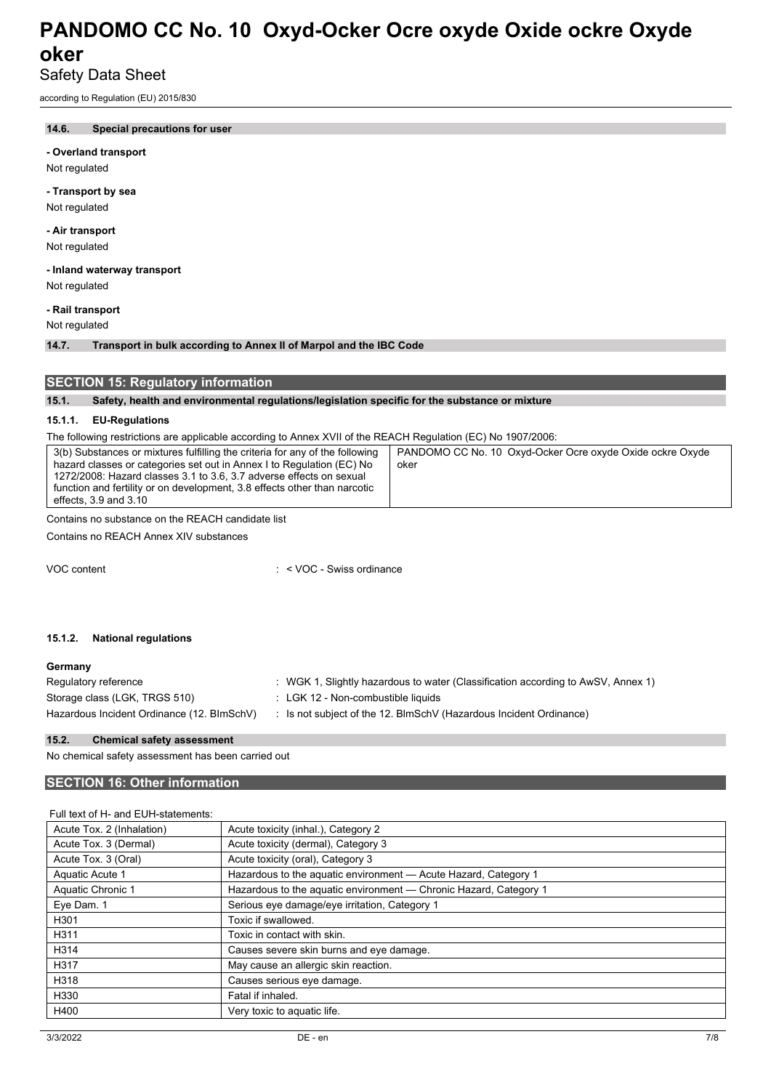## Safety Data Sheet

according to Regulation (EU) 2015/830

### **14.6. Special precautions for user**

#### **- Overland transport**

Not regulated

#### **- Transport by sea**

Not regulated

### **- Air transport**

Not regulated

## **- Inland waterway transport**

Not regulated

**- Rail transport**

Not regulated

**14.7. Transport in bulk according to Annex II of Marpol and the IBC Code**

### **SECTION 15: Regulatory information**

#### **15.1. Safety, health and environmental regulations/legislation specific for the substance or mixture**

### **15.1.1. EU-Regulations**

The following restrictions are applicable according to Annex XVII of the REACH Regulation (EC) No 1907/2006:

| 3(b) Substances or mixtures fulfilling the criteria for any of the following<br>hazard classes or categories set out in Annex I to Regulation (EC) No<br>oker<br>1272/2008: Hazard classes 3.1 to 3.6, 3.7 adverse effects on sexual<br>function and fertility or on development, 3.8 effects other than narcotic<br>effects, 3.9 and 3.10 | PANDOMO CC No. 10 Oxyd-Ocker Ocre oxyde Oxide ockre Oxyde |
|--------------------------------------------------------------------------------------------------------------------------------------------------------------------------------------------------------------------------------------------------------------------------------------------------------------------------------------------|-----------------------------------------------------------|
|--------------------------------------------------------------------------------------------------------------------------------------------------------------------------------------------------------------------------------------------------------------------------------------------------------------------------------------------|-----------------------------------------------------------|

Contains no substance on the REACH candidate list

Contains no REACH Annex XIV substances

VOC content : < VOC - Swiss ordinance

#### **15.1.2. National regulations**

#### **Germany**

| Regulatory reference                       | : WGK 1, Slightly hazardous to water (Classification according to AwSV, Annex 1) |
|--------------------------------------------|----------------------------------------------------------------------------------|
| Storage class (LGK, TRGS 510)              | : LGK 12 - Non-combustible liquids                                               |
| Hazardous Incident Ordinance (12. BImSchV) | : Is not subject of the 12. BlmSchV (Hazardous Incident Ordinance)               |

#### **15.2. Chemical safety assessment**

No chemical safety assessment has been carried out

### **SECTION 16: Other information**

| Acute toxicity (inhal.), Category 2                               |
|-------------------------------------------------------------------|
| Acute toxicity (dermal), Category 3                               |
| Acute toxicity (oral), Category 3                                 |
| Hazardous to the aquatic environment - Acute Hazard, Category 1   |
| Hazardous to the aquatic environment — Chronic Hazard, Category 1 |
| Serious eye damage/eye irritation, Category 1                     |
| Toxic if swallowed.                                               |
| Toxic in contact with skin.                                       |
| Causes severe skin burns and eye damage.                          |
| May cause an allergic skin reaction.                              |
| Causes serious eye damage.                                        |
| Fatal if inhaled.                                                 |
| Very toxic to aquatic life.                                       |
|                                                                   |